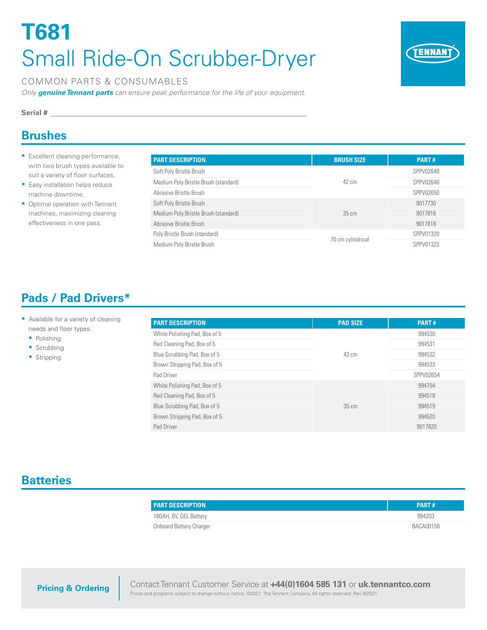# **T681** Small Ride-On Scrubber-Dryer



#### COMMON PARTS & CONSUMABLES

*Only genuine Tennant parts can ensure peak performance for the life of your equipment.*

#### **Serial #**

## **Brushes**

- **Excellent cleaning performance,** with two brush types available to suit a variety of floor surfaces.
- **Easy installation helps reduce** machine downtime.
- **Optimal operation with Tennant** machines, maximizing cleaning effectiveness in one pass.

| <b>PART DESCRIPTION</b>              | <b>BRUSH SIZE</b> | <b>PART#</b> |
|--------------------------------------|-------------------|--------------|
| Soft Poly Bristle Brush              |                   | SPPV02649    |
| Medium Poly Bristle Brush (standard) | 42 cm             | SPPV02648    |
| Abrasive Bristle Brush               |                   | SPPV02650    |
| Soft Poly Bristle Brush              |                   | 9017730      |
| Medium Poly Bristle Brush (standard) | $35 \text{ cm}$   | 9017816      |
| Abrasive Bristle Brush               |                   | 9017818      |
| Poly Bristle Brush (standard)        |                   | SPPV01320    |
| Medium Poly Bristle Brush            | 70 cm cylindrical | SPPV01323    |

# **Pads / Pad Drivers\***

#### **Available for a variety of cleaning** needs and floor types.

- Polishing
- **Scrubbing**
- **Stripping**

| <b>PART DESCRIPTION</b>       | <b>PAD SIZE</b> | <b>PART#</b> |
|-------------------------------|-----------------|--------------|
| White Polishing Pad, Box of 5 | $43 \text{ cm}$ | 994530       |
| Red Cleaning Pad, Box of 5    |                 | 994531       |
| Blue Scrubbing Pad, Box of 5  |                 | 994532       |
| Brown Stripping Pad, Box of 5 |                 | 994533       |
| Pad Driver                    |                 | SPPV02654    |
| White Polishing Pad, Box of 5 | $35 \text{ cm}$ | 994754       |
| Red Cleaning Pad, Box of 5    |                 | 994518       |
| Blue Scrubbing Pad, Box of 5  |                 | 994519       |
| Brown Stripping Pad, Box of 5 |                 | 994520       |
| Pad Driver                    |                 | 9017820      |

## **Batteries**

| <b>PART DESCRIPTION</b> | <b>PART#</b> |
|-------------------------|--------------|
| 180AH, 6V, GEL Battery  | 994203       |
| Onboard Battery Charger | BACA00158    |

Contact Tennant Customer Service at **+44(0)1604 585 131** or **uk.tennantco.com** Prices and programs subject to change without notice. ©2021 The Tennant Company. All rights reserved. Rev 9/2021